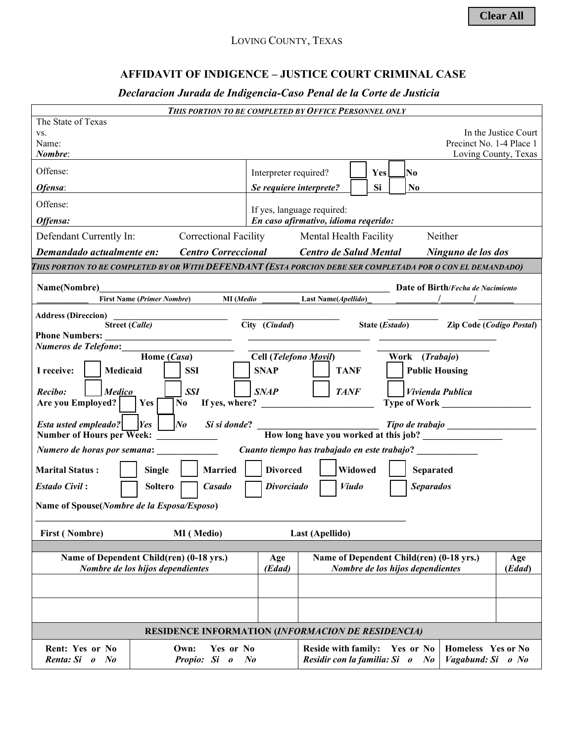## **AFFIDAVIT OF INDIGENCE – JUSTICE COURT CRIMINAL CASE**

## *Declaracion Jurada de Indigencia-Caso Penal de la Corte de Justicia*

| THIS PORTION TO BE COMPLETED BY OFFICE PERSONNEL ONLY                                                                                                                       |                                      |                                                                  |  |                         |  |                                  |                                          |                                              |
|-----------------------------------------------------------------------------------------------------------------------------------------------------------------------------|--------------------------------------|------------------------------------------------------------------|--|-------------------------|--|----------------------------------|------------------------------------------|----------------------------------------------|
| The State of Texas<br>VS.<br>Name:<br>Nombre:                                                                                                                               |                                      |                                                                  |  |                         |  |                                  | Precinct No. 1-4 Place 1                 | In the Justice Court<br>Loving County, Texas |
| Offense:                                                                                                                                                                    | Interpreter required?                |                                                                  |  | <b>Yes</b>              |  | No.                              |                                          |                                              |
| Ofensa:                                                                                                                                                                     | Se requiere interprete?              |                                                                  |  | Si                      |  | N <sub>0</sub>                   |                                          |                                              |
| Offense:                                                                                                                                                                    | If yes, language required:           |                                                                  |  |                         |  |                                  |                                          |                                              |
| Offensa:                                                                                                                                                                    | En caso afirmativo, idioma reqerido: |                                                                  |  |                         |  |                                  |                                          |                                              |
| <b>Correctional Facility</b><br>Defendant Currently In:                                                                                                                     | Neither<br>Mental Health Facility    |                                                                  |  |                         |  |                                  |                                          |                                              |
| <b>Centro Correccional</b><br>Demandado actualmente en:                                                                                                                     |                                      | Centro de Salud Mental                                           |  |                         |  |                                  | Ninguno de los dos                       |                                              |
| This portion to be completed by or With DEFENDANT (Esta porcion debe ser completada por o con el demandado)                                                                 |                                      |                                                                  |  |                         |  |                                  |                                          |                                              |
| Name(Nombre)                                                                                                                                                                |                                      |                                                                  |  |                         |  |                                  | Date of Birth/Fecha de Nacimiento        |                                              |
| Last Name(Apellido)<br>MI (Medio<br><b>First Name (Primer Nombre)</b>                                                                                                       |                                      |                                                                  |  |                         |  |                                  |                                          |                                              |
| <b>Address (Direccion)</b><br><b>Street (Calle)</b>                                                                                                                         | City (Ciudad)                        |                                                                  |  | State ( <i>Estado</i> ) |  |                                  | <b>Zip Code (Codigo Postal)</b>          |                                              |
| <b>Phone Numbers:</b><br>Numeros de Telefono:                                                                                                                               |                                      |                                                                  |  |                         |  |                                  |                                          |                                              |
| Home (Casa)<br>Cell (Telefono Movil)<br>Work (Trabajo)                                                                                                                      |                                      |                                                                  |  |                         |  |                                  |                                          |                                              |
| <b>SSI</b><br>Medicaid<br>I receive:                                                                                                                                        | <b>SNAP</b>                          | <b>TANF</b>                                                      |  |                         |  |                                  | <b>Public Housing</b>                    |                                              |
| <b>SSI</b><br><b>TANF</b><br>Recibo:<br><b>SNAP</b><br>Vivienda Publica<br><b>Medico</b><br>$Yes \vert$<br><b>Are you Employed?</b><br>No<br>If yes, where?<br>Type of Work |                                      |                                                                  |  |                         |  |                                  |                                          |                                              |
| <i>Esta usted empleado?</i>   <i>Yes</i><br>$N_{0}$<br>Si si donde?<br>How long have you worked at this job?<br><b>Number of Hours per Week:</b>                            |                                      |                                                                  |  |                         |  |                                  |                                          |                                              |
| Cuanto tiempo has trabajado en este trabajo?<br>Numero de horas por semana:                                                                                                 |                                      |                                                                  |  |                         |  |                                  |                                          |                                              |
| <b>Divorced</b><br>Widowed<br><b>Married</b><br><b>Marital Status:</b><br><b>Single</b><br>Separated                                                                        |                                      |                                                                  |  |                         |  |                                  |                                          |                                              |
| <b>Divorciado</b><br><b>Viudo</b><br><b>Separados</b><br><b>Estado Civil:</b><br><b>Soltero</b><br><b>Casado</b>                                                            |                                      |                                                                  |  |                         |  |                                  |                                          |                                              |
| Name of Spouse(Nombre de la Esposa/Esposo)                                                                                                                                  |                                      |                                                                  |  |                         |  |                                  |                                          |                                              |
| <b>First (Nombre)</b><br>MI (Medio)                                                                                                                                         |                                      | Last (Apellido)                                                  |  |                         |  |                                  |                                          |                                              |
| Name of Dependent Child(ren) (0-18 yrs.)                                                                                                                                    | Age                                  |                                                                  |  |                         |  |                                  | Name of Dependent Child(ren) (0-18 yrs.) | Age                                          |
| Nombre de los hijos dependientes                                                                                                                                            | (Edad)                               |                                                                  |  |                         |  | Nombre de los hijos dependientes |                                          | (Edad)                                       |
|                                                                                                                                                                             |                                      |                                                                  |  |                         |  |                                  |                                          |                                              |
|                                                                                                                                                                             |                                      |                                                                  |  |                         |  |                                  |                                          |                                              |
| RESIDENCE INFORMATION (INFORMACION DE RESIDENCIA)                                                                                                                           |                                      |                                                                  |  |                         |  |                                  |                                          |                                              |
| Rent: Yes or No<br>Own:<br>Yes or No<br>Renta: Si o No<br>Propio: Si o                                                                                                      | $N_{0}$                              | Reside with family: Yes or No<br>Residir con la familia: Si o No |  |                         |  |                                  | Homeless Yes or No<br>Vagabund: Si o No  |                                              |
|                                                                                                                                                                             |                                      |                                                                  |  |                         |  |                                  |                                          |                                              |